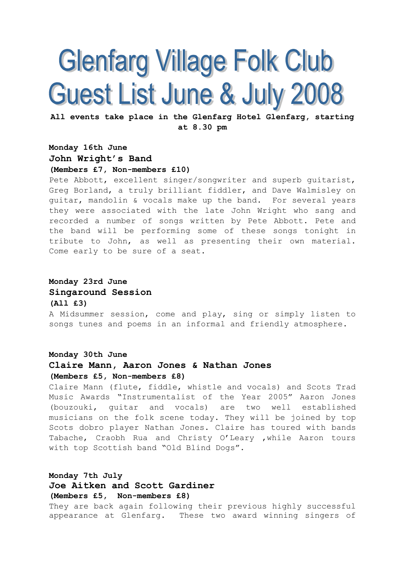# **Glenfarg Village Folk Club** Guest List June & July 2008

All events take place in the Glenfarg Hotel Glenfarg, starting at 8.30 pm

### Monday 16th June John Wright's Band

#### (Members £7, Non-members £10)

Pete Abbott, excellent singer/songwriter and superb guitarist, Greg Borland, a truly brilliant fiddler, and Dave Walmisley on guitar, mandolin & vocals make up the band. For several years they were associated with the late John Wright who sang and recorded a number of songs written by Pete Abbott. Pete and the band will be performing some of these songs tonight in tribute to John, as well as presenting their own material. Come early to be sure of a seat.

#### Monday 23rd June Singaround Session

#### (All £3)

A Midsummer session, come and play, sing or simply listen to songs tunes and poems in an informal and friendly atmosphere.

#### Monday 30th June

#### Claire Mann, Aaron Jones & Nathan Jones (Members £5, Non-members £8)

Claire Mann (flute, fiddle, whistle and vocals) and Scots Trad Music Awards "Instrumentalist of the Year 2005" Aaron Jones (bouzouki, guitar and vocals) are two well established musicians on the folk scene today. They will be joined by top Scots dobro player Nathan Jones. Claire has toured with bands Tabache, Craobh Rua and Christy O'Leary ,while Aaron tours with top Scottish band "Old Blind Dogs".

#### Monday 7th July Joe Aitken and Scott Gardiner (Members £5, Non-members £8)

They are back again following their previous highly successful appearance at Glenfarg. These two award winning singers of